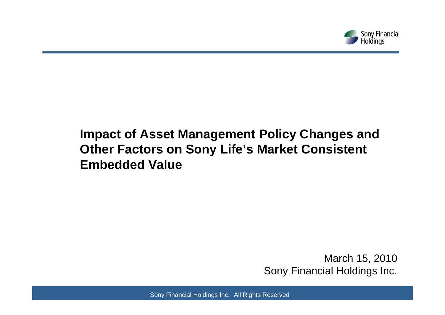

# **Impact of Asset Management Policy Changes and Other Factors on Sony Life's Market Consistent Embedded Value**

March 15, 2010 Sony Financial Holdings Inc.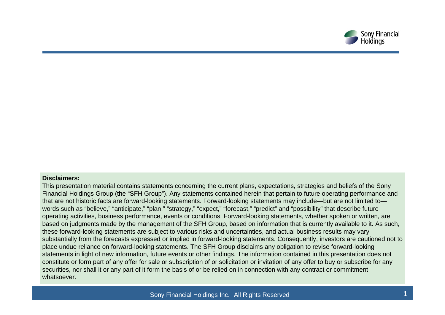

#### **Disclaimers:**

This presentation material contains statements concerning the current plans, expectations, strategies and beliefs of the Sony Financial Holdings Group (the "SFH Group"). Any statements contained herein that pertain to future operating performance and that are not historic facts are forward-looking statements. Forward-looking statements may include—but are not limited to words such as "believe," "anticipate," "plan," "strategy," "expect," "forecast," "predict" and "possibility" that describe future operating activities, business performance, events or conditions. Forward-looking statements, whether spoken or written, are based on judgments made by the management of the SFH Group, based on information that is currently available to it. As such, these forward-looking statements are subject to various risks and uncertainties, and actual business results may vary substantially from the forecasts expressed or implied in forward-looking statements. Consequently, investors are cautioned not to place undue reliance on forward-looking statements. The SFH Group disclaims any obligation to revise forward-looking statements in light of new information, future events or other findings. The information contained in this presentation does not constitute or form part of any offer for sale or subscription of or solicitation or invitation of any offer to buy or subscribe for any securities, nor shall it or any part of it form the basis of or be relied on in connection with any contract or commitment whatsoever.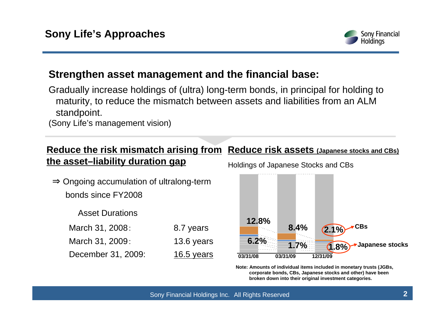

## **Strengthen asset management and the financial base:**

Gradually increase holdings of (ultra) long-term bonds, in principal for holding to maturity, to reduce the mismatch between assets and liabilities from an ALM standpoint.

(Sony Life's management vision)

## **Reduce the risk mismatch arising from Reduce risk assets (Japanese stocks and CBs) the asset–liability duration gap**

⇒ Ongoing accumulation of ultralong-term bonds since FY2008

Asset Durations

March 31, 2008: 8.7 years March 31, 2009: 13.6 years December 31, 2009: 16.5 years Holdings of Japanese Stocks and CBs



**Note: Amounts of individual items included in monetary trusts (JGBs, corporate bonds, CBs, Japanese stocks and other) have been broken down into their original investment categories.**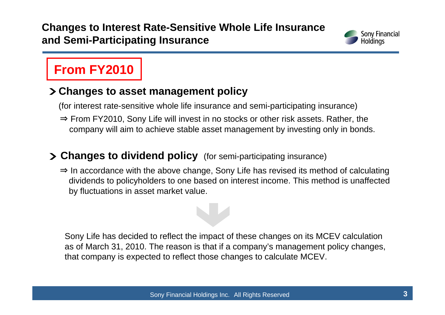## **Changes to Interest Rate-Sensitive Whole Life Insurance and Semi-Participating Insurance**



# **From FY2010**

## **Changes to asset management policy**

(for interest rate-sensitive whole life insurance and semi-participating insurance)

⇒ From FY2010, Sony Life will invest in no stocks or other risk assets. Rather, the company will aim to achieve stable asset management by investing only in bonds.

## **Changes to dividend policy** (for semi-participating insurance)

⇒ In accordance with the above change, Sony Life has revised its method of calculating dividends to policyholders to one based on interest income. This method is unaffected by fluctuations in asset market value.

Sony Life has decided to reflect the impact of these changes on its MCEV calculation as of March 31, 2010. The reason is that if a company's management policy changes, that company is expected to reflect those changes to calculate MCEV.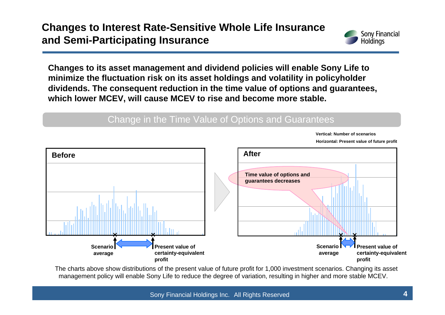

**Vertical: Number of scenarios**

**Changes to its asset management and dividend policies will enable Sony Life to minimize the fluctuation risk on its asset holdings and volatility in policyholder dividends. The consequent reduction in the time value of options and guarantees, which lower MCEV, will cause MCEV to rise and become more stable.**

#### Change in the Time Value of Options and Guarantees



The charts above show distributions of the present value of future profit for 1,000 investment scenarios. Changing its asset management policy will enable Sony Life to reduce the degree of variation, resulting in higher and more stable MCEV.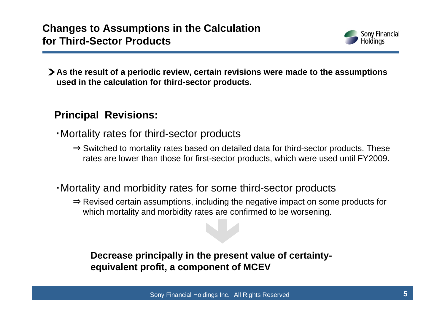

**As the result of a periodic review, certain revisions were made to the assumptions used in the calculation for third-sector products.**

## **Principal Revisions:**

- ・Mortality rates for third-sector products
	- ⇒ Switched to mortality rates based on detailed data for third-sector products. These rates are lower than those for first-sector products, which were used until FY2009.
- ・Mortality and morbidity rates for some third-sector products
	- ⇒ Revised certain assumptions, including the negative impact on some products for which mortality and morbidity rates are confirmed to be worsening.

### **Decrease principally in the present value of certaintyequivalent profit, a component of MCEV**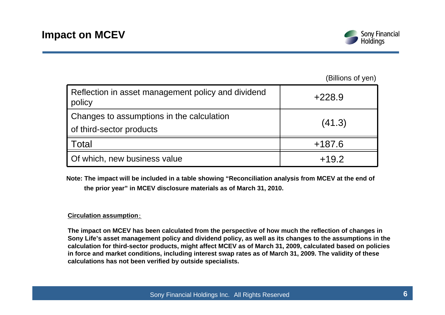

|                                                                       | (Billions of yen) |  |
|-----------------------------------------------------------------------|-------------------|--|
| Reflection in asset management policy and dividend<br>policy          | $+228.9$          |  |
| Changes to assumptions in the calculation<br>of third-sector products | (41.3)            |  |
| <b>Total</b>                                                          | $+187.6$          |  |
| Of which, new business value                                          | $+19.2$           |  |

**Note: The impact will be included in a table showing "Reconciliation analysis from MCEV at the end of the prior year" in MCEV disclosure materials as of March 31, 2010.**

#### **Circulation assumption**:

**The impact on MCEV has been calculated from the perspective of how much the reflection of changes in Sony Life's asset management policy and dividend policy, as well as its changes to the assumptions in the calculation for third-sector products, might affect MCEV as of March 31, 2009, calculated based on policies in force and market conditions, including interest swap rates as of March 31, 2009. The validity of these calculations has not been verified by outside specialists.**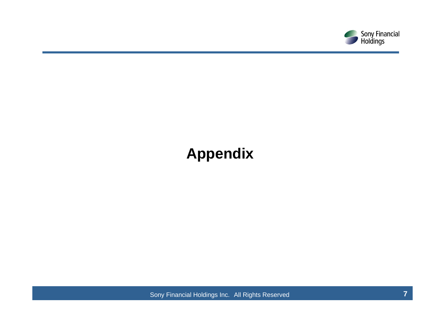

# **Appendix**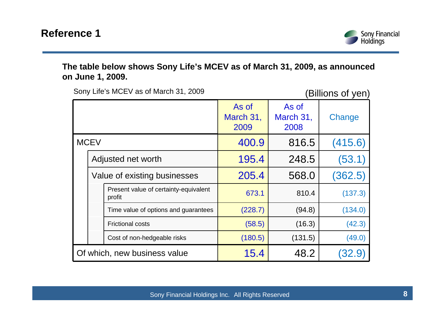

**The table below shows Sony Life's MCEV as of March 31, 2009, as announced on June 1, 2009.**

Sony Life's MCEV as of March 31, 2009 (Billions of yen)

|                              |                                                 | As of<br>March 31,<br>2009 | As of<br>March 31,<br>2008 | Change  |
|------------------------------|-------------------------------------------------|----------------------------|----------------------------|---------|
| <b>MCEV</b>                  |                                                 | 400.9                      | 816.5                      | (415.6) |
|                              | Adjusted net worth                              | 195.4                      | 248.5                      | (53.1)  |
|                              | Value of existing businesses                    | 205.4                      | 568.0                      | (362.5) |
|                              | Present value of certainty-equivalent<br>profit | 673.1                      | 810.4                      | (137.3) |
|                              | Time value of options and guarantees            | (228.7)                    | (94.8)                     | (134.0) |
|                              | <b>Frictional costs</b>                         | (58.5)                     | (16.3)                     | (42.3)  |
|                              | Cost of non-hedgeable risks                     | (180.5)                    | (131.5)                    | (49.0)  |
| Of which, new business value |                                                 | 15.4                       | 48.2                       |         |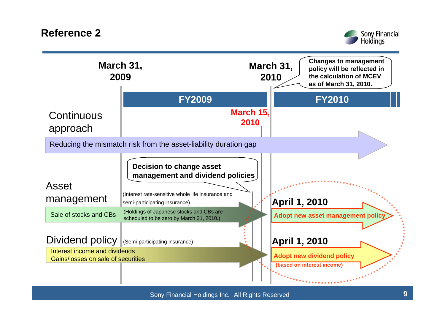**Reference 2**



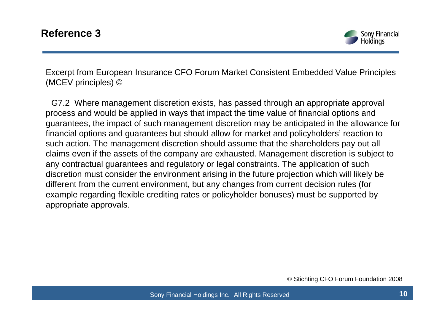

Excerpt from European Insurance CFO Forum Market Consistent Embedded Value Principles (MCEV principles) ©

G7.2 Where management discretion exists, has passed through an appropriate approval process and would be applied in ways that impact the time value of financial options and guarantees, the impact of such management discretion may be anticipated in the allowance for financial options and guarantees but should allow for market and policyholders' reaction to such action. The management discretion should assume that the shareholders pay out all claims even if the assets of the company are exhausted. Management discretion is subject to any contractual guarantees and regulatory or legal constraints. The application of such discretion must consider the environment arising in the future projection which will likely be different from the current environment, but any changes from current decision rules (for example regarding flexible crediting rates or policyholder bonuses) must be supported by appropriate approvals.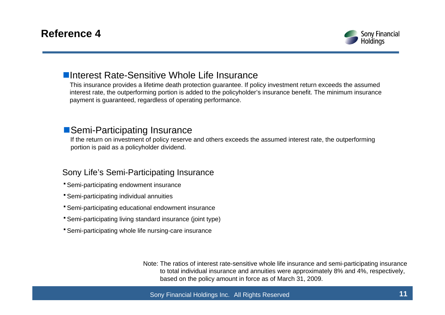

#### **Elnterest Rate-Sensitive Whole Life Insurance**

This insurance provides a lifetime death protection guarantee. If policy investment return exceeds the assumed interest rate, the outperforming portion is added to the policyholder's insurance benefit. The minimum insurance payment is guaranteed, regardless of operating performance.

#### ■Semi-Participating Insurance

If the return on investment of policy reserve and others exceeds the assumed interest rate, the outperforming portion is paid as a policyholder dividend.

#### Sony Life's Semi-Participating Insurance

- ・Semi-participating endowment insurance
- ・Semi-participating individual annuities
- **\* Semi-participating educational endowment insurance**
- ・Semi-participating living standard insurance (joint type)
- **Semi-participating whole life nursing-care insurance**

Note: The ratios of interest rate-sensitive whole life insurance and semi-participating insurance to total individual insurance and annuities were approximately 8% and 4%, respectively, based on the policy amount in force as of March 31, 2009.